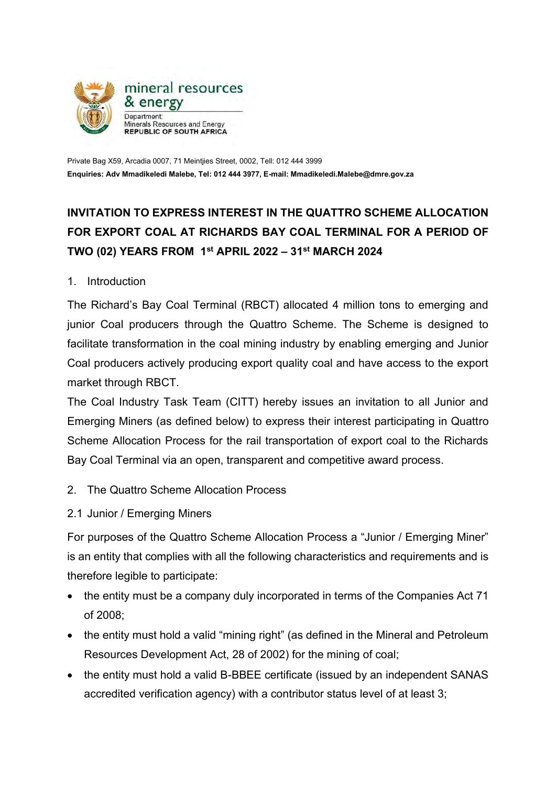

Private Bag X59, Arcadia 0007, 71 Meintjies Street, 0002, Tell: 012 444 3999 **Enquiries: Adv Mmadikeledi Malebe, Tel: 012 444 3977, E-mail: Mmadikeledi.Malebe@dmre.gov.za**

## **INVITATION TO EXPRESS INTEREST IN THE QUATTRO SCHEME ALLOCATION FOR EXPORT COAL AT RICHARDS BAY COAL TERMINAL FOR A PERIOD OF TWO (02) YEARS FROM 1st APRIL 2022 – 31st MARCH 2024**

1. Introduction

The Richard's Bay Coal Terminal (RBCT) allocated 4 million tons to emerging and junior Coal producers through the Quattro Scheme. The Scheme is designed to facilitate transformation in the coal mining industry by enabling emerging and Junior Coal producers actively producing export quality coal and have access to the export market through RBCT.

The Coal Industry Task Team (CITT) hereby issues an invitation to all Junior and Emerging Miners (as defined below) to express their interest participating in Quattro Scheme Allocation Process for the rail transportation of export coal to the Richards Bay Coal Terminal via an open, transparent and competitive award process.

- 2. The Quattro Scheme Allocation Process
- 2.1 Junior / Emerging Miners

For purposes of the Quattro Scheme Allocation Process a "Junior / Emerging Miner" is an entity that complies with all the following characteristics and requirements and is therefore legible to participate:

- the entity must be a company duly incorporated in terms of the Companies Act 71 of 2008;
- the entity must hold a valid "mining right" (as defined in the Mineral and Petroleum Resources Development Act, 28 of 2002) for the mining of coal;
- the entity must hold a valid B-BBEE certificate (issued by an independent SANAS accredited verification agency) with a contributor status level of at least 3;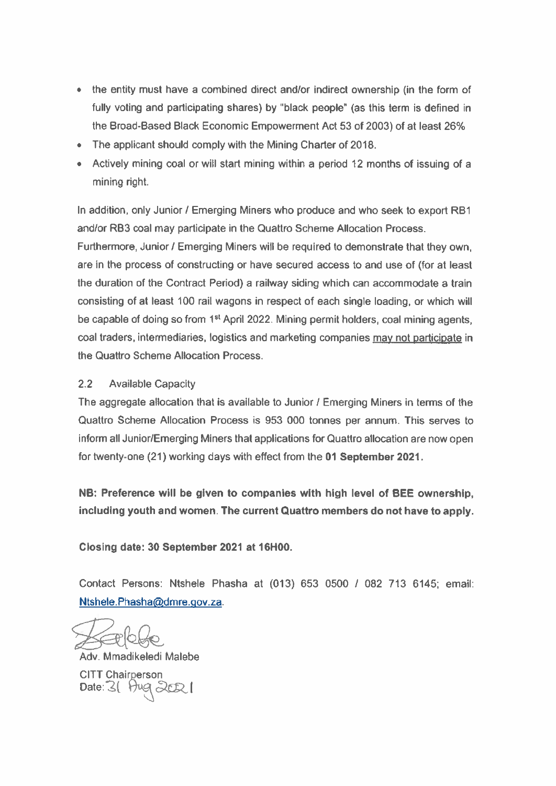- the entity must have a combined direct and/or indirect ownership (in the form of fully voting and participating shares) by "black people" (as this term is defined in the Broad-Based Black Economic Empowerment Act 53 of 2003) of at least 26%
- The applicant should comply with the Mining Charter of 2018.
- Actively mining coal or will start mining within a period 12 months of issuing of a mining right.

In addition, only Junior / Emerging Miners who produce and who seek to export RB1 and/or RB3 coal may participate in the Quattro Scheme Allocation Process.

Furthermore, Junior / Emerging Miners will be required to demonstrate that they own. are in the process of constructing or have secured access to and use of (for at least the duration of the Contract Period) a railway siding which can accommodate a train consisting of at least 100 rail wagons in respect of each single loading, or which will be capable of doing so from 1<sup>st</sup> April 2022. Mining permit holders, coal mining agents, coal traders, intermediaries, logistics and marketing companies may not participate in the Quattro Scheme Allocation Process.

## $2.2^{\circ}$ **Available Capacity**

The aggregate allocation that is available to Junior / Emerging Miners in terms of the Quattro Scheme Allocation Process is 953 000 tonnes per annum. This serves to inform all Junior/Emerging Miners that applications for Quattro allocation are now open for twenty-one (21) working days with effect from the 01 September 2021.

NB: Preference will be given to companies with high level of BEE ownership, including youth and women. The current Quattro members do not have to apply.

Closing date: 30 September 2021 at 16H00.

Contact Persons: Ntshele Phasha at (013) 653 0500 / 082 713 6145; email: Ntshele.Phasha@dmre.gov.za.

Adv. Mmadikeledi Malebe

**CITT Chairperson** Date:  $3$  Hug  $302$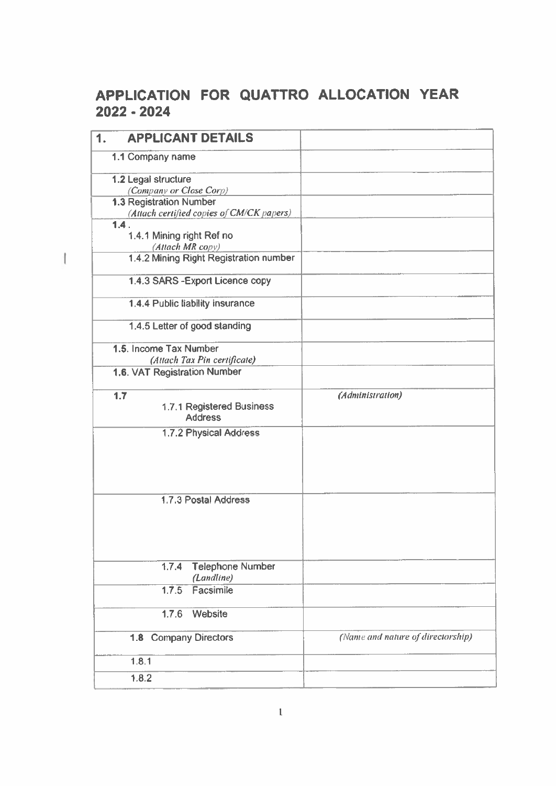## APPLICATION FOR QUATTRO ALLOCATION YEAR 2022 - 2024

 $\mathbb{I}$ 

| <b>APPLICANT DETAILS</b><br>1.                                              |                                   |
|-----------------------------------------------------------------------------|-----------------------------------|
| 1.1 Company name                                                            |                                   |
| 1.2 Legal structure                                                         |                                   |
| (Company or Close Corp)                                                     |                                   |
| <b>1.3 Registration Number</b><br>(Attach certified copies of CM/CK papers) |                                   |
| 1.4.                                                                        |                                   |
| 1.4.1 Mining right Ref no                                                   |                                   |
| (Attach MR copy)                                                            |                                   |
| 1.4.2 Mining Right Registration number                                      |                                   |
| 1.4.3 SARS - Export Licence copy                                            |                                   |
| 1.4.4 Public liability insurance                                            |                                   |
| 1.4.5 Letter of good standing                                               |                                   |
| 1.5. Income Tax Number                                                      |                                   |
| (Attach Tax Pin certificate)                                                |                                   |
| 1.6. VAT Registration Number                                                |                                   |
| 1.7                                                                         | (Administration)                  |
| 1.7.1 Registered Business<br><b>Address</b>                                 |                                   |
| 1.7.2 Physical Address                                                      |                                   |
|                                                                             |                                   |
| 1.7.3 Postal Address                                                        |                                   |
|                                                                             |                                   |
| <b>Telephone Number</b><br>1.7.4                                            |                                   |
| (Landline)                                                                  |                                   |
| Facsimile<br>1.7.5                                                          |                                   |
| Website<br>1.7.6                                                            |                                   |
| 1.8 Company Directors                                                       | (Name and nature of directorship) |
| 1.8.1                                                                       |                                   |
| 1.8.2                                                                       |                                   |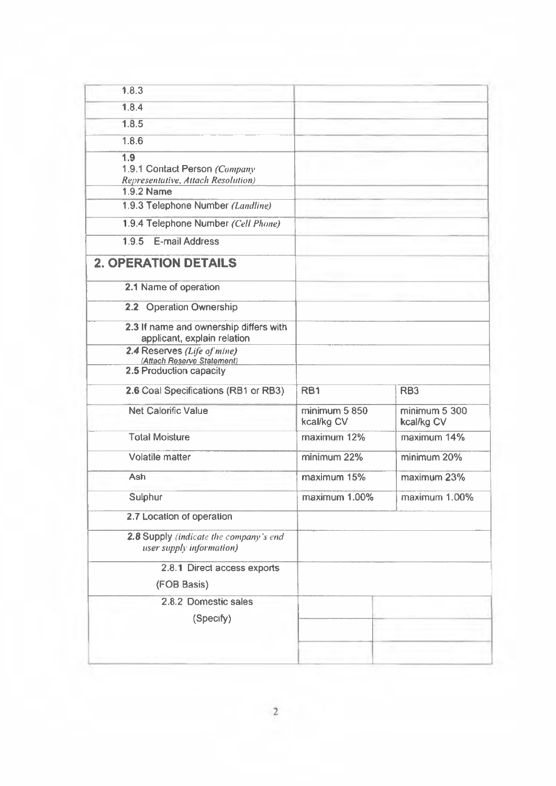| 1.8.3                                                                      |                             |                             |
|----------------------------------------------------------------------------|-----------------------------|-----------------------------|
| 1.8.4                                                                      |                             |                             |
| 1.8.5                                                                      |                             |                             |
| 1.8.6                                                                      |                             |                             |
| 1.9<br>1.9.1 Contact Person (Company<br>Representative, Attach Resolution) |                             |                             |
| <b>1.9.2 Name</b>                                                          |                             |                             |
| 1.9.3 Telephone Number (Landline)                                          |                             |                             |
| 1.9.4 Telephone Number (Cell Phone)                                        |                             |                             |
| <b>E-mail Address</b><br>1.9.5                                             |                             |                             |
| <b>2. OPERATION DETAILS</b>                                                |                             |                             |
| 2.1 Name of operation                                                      |                             |                             |
| 2.2 Operation Ownership                                                    |                             |                             |
| 2.3 If name and ownership differs with<br>applicant, explain relation      |                             |                             |
| 2.4 Reserves (Life of mine)<br>(Attach Reserve Statement)                  |                             |                             |
| 2.5 Production capacity                                                    |                             |                             |
| 2.6 Coal Specifications (RB1 or RB3)                                       | RB <sub>1</sub>             | RB <sub>3</sub>             |
| <b>Net Calorific Value</b>                                                 | minimum 5 850<br>kcal/kg CV | minimum 5 300<br>kcal/kg CV |
| <b>Total Moisture</b>                                                      | maximum 12%                 | maximum 14%                 |
| Volatile matter                                                            | minimum 22%                 | minimum 20%                 |
| Ash                                                                        | maximum 15%                 | maximum 23%                 |
| Sulphur                                                                    | maximum 1.00%               | maximum 1.00%               |
| 2.7 Location of operation                                                  |                             |                             |
| 2.8 Supply (indicate the company's end<br>user supply information)         |                             |                             |
| 2.8.1 Direct access exports                                                |                             |                             |
| (FOB Basis)                                                                |                             |                             |
| 2.8.2 Domestic sales                                                       |                             |                             |
| (Specify)                                                                  |                             |                             |
|                                                                            |                             |                             |
|                                                                            |                             |                             |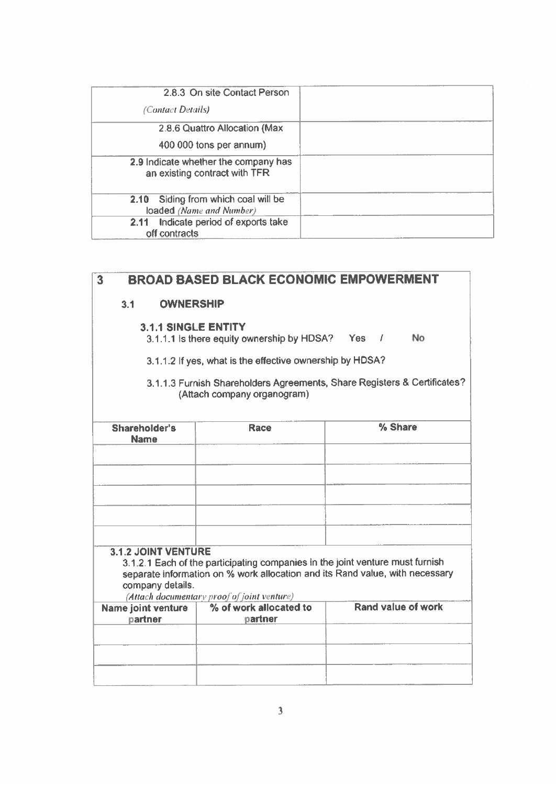| 2.8.3 On site Contact Person                                          |  |
|-----------------------------------------------------------------------|--|
| (Contact Details)                                                     |  |
| 2.8.6 Quattro Allocation (Max                                         |  |
| 400 000 tons per annum)                                               |  |
| 2.9 Indicate whether the company has<br>an existing contract with TFR |  |
| 2.10 Siding from which coal will be<br>loaded (Name and Number)       |  |
| Indicate period of exports take<br>2.11<br>off contracts              |  |

| $\overline{\mathbf{3}}$                                                                                 | <b>BROAD BASED BLACK ECONOMIC EMPOWERMENT</b>                                                                                |                                                                              |  |  |  |  |  |
|---------------------------------------------------------------------------------------------------------|------------------------------------------------------------------------------------------------------------------------------|------------------------------------------------------------------------------|--|--|--|--|--|
| <b>OWNERSHIP</b><br>3.1                                                                                 |                                                                                                                              |                                                                              |  |  |  |  |  |
| <b>3.1.1 SINGLE ENTITY</b><br>3.1.1.1 is there equity ownership by HDSA? Yes /<br><b>No</b>             |                                                                                                                              |                                                                              |  |  |  |  |  |
|                                                                                                         | 3.1.1.2 If yes, what is the effective ownership by HDSA?                                                                     |                                                                              |  |  |  |  |  |
| 3.1.1.3 Furnish Shareholders Agreements, Share Registers & Certificates?<br>(Attach company organogram) |                                                                                                                              |                                                                              |  |  |  |  |  |
| Shareholder's<br><b>Name</b>                                                                            | % Share<br><b>Race</b>                                                                                                       |                                                                              |  |  |  |  |  |
|                                                                                                         |                                                                                                                              |                                                                              |  |  |  |  |  |
|                                                                                                         |                                                                                                                              |                                                                              |  |  |  |  |  |
|                                                                                                         |                                                                                                                              |                                                                              |  |  |  |  |  |
|                                                                                                         |                                                                                                                              |                                                                              |  |  |  |  |  |
| <b>3.1.2 JOINT VENTURE</b>                                                                              |                                                                                                                              |                                                                              |  |  |  |  |  |
| company details.                                                                                        | 3.1.2.1 Each of the participating companies in the joint venture must furnish<br>(Attach documentary proof of joint venture) | separate information on % work allocation and its Rand value, with necessary |  |  |  |  |  |
| Name joint venture                                                                                      | % of work allocated to                                                                                                       | Rand value of work                                                           |  |  |  |  |  |
| partner                                                                                                 | partner                                                                                                                      |                                                                              |  |  |  |  |  |
|                                                                                                         |                                                                                                                              |                                                                              |  |  |  |  |  |
|                                                                                                         |                                                                                                                              |                                                                              |  |  |  |  |  |
|                                                                                                         |                                                                                                                              |                                                                              |  |  |  |  |  |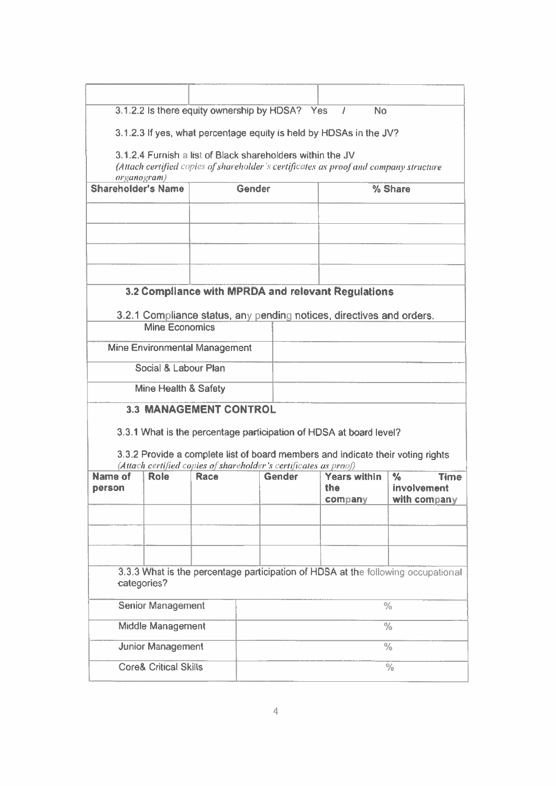|                           | 3.1.2.2 Is there equity ownership by HDSA? Yes                     |      |        |        |     | <b>No</b><br>$\prime$ |                                                                                       |             |
|---------------------------|--------------------------------------------------------------------|------|--------|--------|-----|-----------------------|---------------------------------------------------------------------------------------|-------------|
|                           | 3.1.2.3 If yes, what percentage equity is held by HDSAs in the JV? |      |        |        |     |                       |                                                                                       |             |
|                           |                                                                    |      |        |        |     |                       |                                                                                       |             |
|                           | 3.1.2.4 Furnish a list of Black shareholders within the JV         |      |        |        |     |                       | (Attach certified copies of shareholder's certificates as proof and company structure |             |
| organogram)               |                                                                    |      |        |        |     |                       |                                                                                       |             |
| <b>Shareholder's Name</b> |                                                                    |      | Gender |        |     | % Share               |                                                                                       |             |
|                           |                                                                    |      |        |        |     |                       |                                                                                       |             |
|                           |                                                                    |      |        |        |     |                       |                                                                                       |             |
|                           |                                                                    |      |        |        |     |                       |                                                                                       |             |
|                           |                                                                    |      |        |        |     |                       |                                                                                       |             |
|                           |                                                                    |      |        |        |     |                       |                                                                                       |             |
|                           | 3.2 Compliance with MPRDA and relevant Regulations                 |      |        |        |     |                       |                                                                                       |             |
|                           |                                                                    |      |        |        |     |                       | 3.2.1 Compliance status, any pending notices, directives and orders.                  |             |
|                           | <b>Mine Economics</b>                                              |      |        |        |     |                       |                                                                                       |             |
|                           | Mine Environmental Management                                      |      |        |        |     |                       |                                                                                       |             |
|                           | Social & Labour Plan                                               |      |        |        |     |                       |                                                                                       |             |
|                           | Mine Health & Safety                                               |      |        |        |     |                       |                                                                                       |             |
|                           | <b>3.3 MANAGEMENT CONTROL</b>                                      |      |        |        |     |                       |                                                                                       |             |
|                           | 3.3.1 What is the percentage participation of HDSA at board level? |      |        |        |     |                       |                                                                                       |             |
|                           |                                                                    |      |        |        |     |                       |                                                                                       |             |
|                           | (Attach certified copies of shareholder's certificates as proof)   |      |        |        |     |                       | 3.3.2 Provide a complete list of board members and indicate their voting rights       |             |
| Name of                   | Role                                                               | Race |        | Gender |     | <b>Years within</b>   | $\frac{6}{6}$                                                                         | <b>Time</b> |
| person                    |                                                                    |      |        |        | the |                       | involvement<br>with company                                                           |             |
|                           |                                                                    |      |        |        |     | company               |                                                                                       |             |
|                           |                                                                    |      |        |        |     |                       |                                                                                       |             |
|                           |                                                                    |      |        |        |     |                       |                                                                                       |             |
|                           |                                                                    |      |        |        |     |                       |                                                                                       |             |
|                           | categories?                                                        |      |        |        |     |                       | 3.3.3 What is the percentage participation of HDSA at the following occupational      |             |
|                           |                                                                    |      |        |        |     |                       |                                                                                       |             |
|                           |                                                                    |      |        |        |     |                       |                                                                                       |             |
|                           | <b>Senior Management</b>                                           |      |        |        |     |                       | $\frac{0}{0}$                                                                         |             |
|                           | Middle Management                                                  |      |        |        |     |                       | $\frac{0}{0}$                                                                         |             |
|                           | <b>Junior Management</b>                                           |      |        |        |     |                       | $\frac{0}{0}$                                                                         |             |
|                           | <b>Core&amp; Critical Skills</b>                                   |      |        |        |     |                       | $\frac{1}{2}$                                                                         |             |